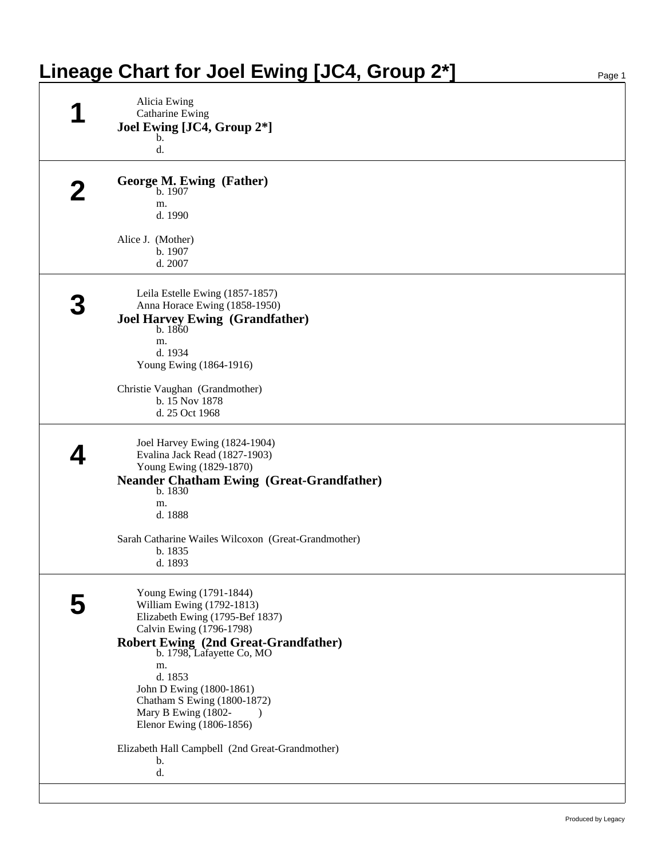| Alicia Ewing<br>Catharine Ewing<br>Joel Ewing [JC4, Group 2*]<br>$\mathbf b$ .<br>d.<br>George M. Ewing (Father)<br>b. 1907<br>m.<br>d. 1990<br>Alice J. (Mother)<br>b. 1907<br>d. 2007<br>Leila Estelle Ewing (1857-1857)<br>Anna Horace Ewing (1858-1950) |                                                                                                                                                                                                                                                                                                                                                                                                                                              |
|-------------------------------------------------------------------------------------------------------------------------------------------------------------------------------------------------------------------------------------------------------------|----------------------------------------------------------------------------------------------------------------------------------------------------------------------------------------------------------------------------------------------------------------------------------------------------------------------------------------------------------------------------------------------------------------------------------------------|
|                                                                                                                                                                                                                                                             |                                                                                                                                                                                                                                                                                                                                                                                                                                              |
|                                                                                                                                                                                                                                                             |                                                                                                                                                                                                                                                                                                                                                                                                                                              |
|                                                                                                                                                                                                                                                             |                                                                                                                                                                                                                                                                                                                                                                                                                                              |
|                                                                                                                                                                                                                                                             |                                                                                                                                                                                                                                                                                                                                                                                                                                              |
|                                                                                                                                                                                                                                                             |                                                                                                                                                                                                                                                                                                                                                                                                                                              |
|                                                                                                                                                                                                                                                             |                                                                                                                                                                                                                                                                                                                                                                                                                                              |
|                                                                                                                                                                                                                                                             |                                                                                                                                                                                                                                                                                                                                                                                                                                              |
|                                                                                                                                                                                                                                                             |                                                                                                                                                                                                                                                                                                                                                                                                                                              |
|                                                                                                                                                                                                                                                             |                                                                                                                                                                                                                                                                                                                                                                                                                                              |
|                                                                                                                                                                                                                                                             |                                                                                                                                                                                                                                                                                                                                                                                                                                              |
|                                                                                                                                                                                                                                                             |                                                                                                                                                                                                                                                                                                                                                                                                                                              |
|                                                                                                                                                                                                                                                             |                                                                                                                                                                                                                                                                                                                                                                                                                                              |
| <b>Joel Harvey Ewing (Grandfather)</b><br>b.1860                                                                                                                                                                                                            |                                                                                                                                                                                                                                                                                                                                                                                                                                              |
| m.                                                                                                                                                                                                                                                          |                                                                                                                                                                                                                                                                                                                                                                                                                                              |
| d. 1934                                                                                                                                                                                                                                                     |                                                                                                                                                                                                                                                                                                                                                                                                                                              |
|                                                                                                                                                                                                                                                             |                                                                                                                                                                                                                                                                                                                                                                                                                                              |
| Christie Vaughan (Grandmother)                                                                                                                                                                                                                              |                                                                                                                                                                                                                                                                                                                                                                                                                                              |
|                                                                                                                                                                                                                                                             |                                                                                                                                                                                                                                                                                                                                                                                                                                              |
|                                                                                                                                                                                                                                                             |                                                                                                                                                                                                                                                                                                                                                                                                                                              |
|                                                                                                                                                                                                                                                             |                                                                                                                                                                                                                                                                                                                                                                                                                                              |
| Evalina Jack Read (1827-1903)                                                                                                                                                                                                                               |                                                                                                                                                                                                                                                                                                                                                                                                                                              |
|                                                                                                                                                                                                                                                             |                                                                                                                                                                                                                                                                                                                                                                                                                                              |
|                                                                                                                                                                                                                                                             |                                                                                                                                                                                                                                                                                                                                                                                                                                              |
| m.                                                                                                                                                                                                                                                          |                                                                                                                                                                                                                                                                                                                                                                                                                                              |
| d. 1888                                                                                                                                                                                                                                                     |                                                                                                                                                                                                                                                                                                                                                                                                                                              |
| Sarah Catharine Wailes Wilcoxon (Great-Grandmother)                                                                                                                                                                                                         |                                                                                                                                                                                                                                                                                                                                                                                                                                              |
| b. 1835                                                                                                                                                                                                                                                     |                                                                                                                                                                                                                                                                                                                                                                                                                                              |
|                                                                                                                                                                                                                                                             |                                                                                                                                                                                                                                                                                                                                                                                                                                              |
|                                                                                                                                                                                                                                                             |                                                                                                                                                                                                                                                                                                                                                                                                                                              |
| William Ewing (1792-1813)                                                                                                                                                                                                                                   |                                                                                                                                                                                                                                                                                                                                                                                                                                              |
|                                                                                                                                                                                                                                                             |                                                                                                                                                                                                                                                                                                                                                                                                                                              |
|                                                                                                                                                                                                                                                             |                                                                                                                                                                                                                                                                                                                                                                                                                                              |
|                                                                                                                                                                                                                                                             |                                                                                                                                                                                                                                                                                                                                                                                                                                              |
| m.                                                                                                                                                                                                                                                          |                                                                                                                                                                                                                                                                                                                                                                                                                                              |
|                                                                                                                                                                                                                                                             |                                                                                                                                                                                                                                                                                                                                                                                                                                              |
|                                                                                                                                                                                                                                                             |                                                                                                                                                                                                                                                                                                                                                                                                                                              |
| Mary B Ewing (1802-<br>$\lambda$                                                                                                                                                                                                                            |                                                                                                                                                                                                                                                                                                                                                                                                                                              |
| Elenor Ewing (1806-1856)                                                                                                                                                                                                                                    |                                                                                                                                                                                                                                                                                                                                                                                                                                              |
| Elizabeth Hall Campbell (2nd Great-Grandmother)                                                                                                                                                                                                             |                                                                                                                                                                                                                                                                                                                                                                                                                                              |
| b.                                                                                                                                                                                                                                                          |                                                                                                                                                                                                                                                                                                                                                                                                                                              |
|                                                                                                                                                                                                                                                             | Young Ewing (1864-1916)<br>b. 15 Nov 1878<br>d. 25 Oct 1968<br>Joel Harvey Ewing (1824-1904)<br>Young Ewing (1829-1870)<br><b>Neander Chatham Ewing (Great-Grandfather)</b><br>b. 1830<br>d. 1893<br>Young Ewing (1791-1844)<br>Elizabeth Ewing (1795-Bef 1837)<br>Calvin Ewing (1796-1798)<br>Robert Ewing (2nd Great-Grandfather)<br>b. 1798, Lafayette Co, MO<br>d. 1853<br>John D Ewing (1800-1861)<br>Chatham S Ewing (1800-1872)<br>d. |